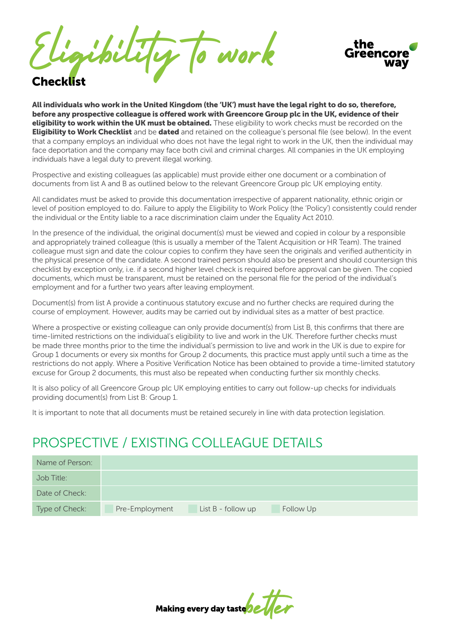bility to work



#### Checklist

All individuals who work in the United Kingdom (the 'UK') must have the legal right to do so, therefore, before any prospective colleague is offered work with Greencore Group plc in the UK, evidence of their **eligibility to work within the UK must be obtained.** These eligibility to work checks must be recorded on the **Eligibility to Work Checklist** and be **dated** and retained on the colleague's personal file (see below). In the event that a company employs an individual who does not have the legal right to work in the UK, then the individual may face deportation and the company may face both civil and criminal charges. All companies in the UK employing individuals have a legal duty to prevent illegal working.

Prospective and existing colleagues (as applicable) must provide either one document or a combination of documents from list A and B as outlined below to the relevant Greencore Group plc UK employing entity.

All candidates must be asked to provide this documentation irrespective of apparent nationality, ethnic origin or level of position employed to do. Failure to apply the Eligibility to Work Policy (the 'Policy') consistently could render the individual or the Entity liable to a race discrimination claim under the Equality Act 2010.

In the presence of the individual, the original document(s) must be viewed and copied in colour by a responsible and appropriately trained colleague (this is usually a member of the Talent Acquisition or HR Team). The trained colleague must sign and date the colour copies to confirm they have seen the originals and verified authenticity in the physical presence of the candidate. A second trained person should also be present and should countersign this checklist by exception only, i.e. if a second higher level check is required before approval can be given. The copied documents, which must be transparent, must be retained on the personal file for the period of the individual's employment and for a further two years after leaving employment.

Document(s) from list A provide a continuous statutory excuse and no further checks are required during the course of employment. However, audits may be carried out by individual sites as a matter of best practice.

Where a prospective or existing colleague can only provide document(s) from List B, this confirms that there are time-limited restrictions on the individual's eligibility to live and work in the UK. Therefore further checks must be made three months prior to the time the individual's permission to live and work in the UK is due to expire for Group 1 documents or every six months for Group 2 documents, this practice must apply until such a time as the restrictions do not apply. Where a Positive Verification Notice has been obtained to provide a time-limited statutory excuse for Group 2 documents, this must also be repeated when conducting further six monthly checks.

It is also policy of all Greencore Group plc UK employing entities to carry out follow-up checks for individuals providing document(s) from List B: Group 1.

It is important to note that all documents must be retained securely in line with data protection legislation.

## PROSPECTIVE / EXISTING COLLEAGUE DETAILS

| Name of Person: |                |                    |           |  |
|-----------------|----------------|--------------------|-----------|--|
| Job Title:      |                |                    |           |  |
| Date of Check:  |                |                    |           |  |
| Type of Check:  | Pre-Employment | List B - follow up | Follow Up |  |

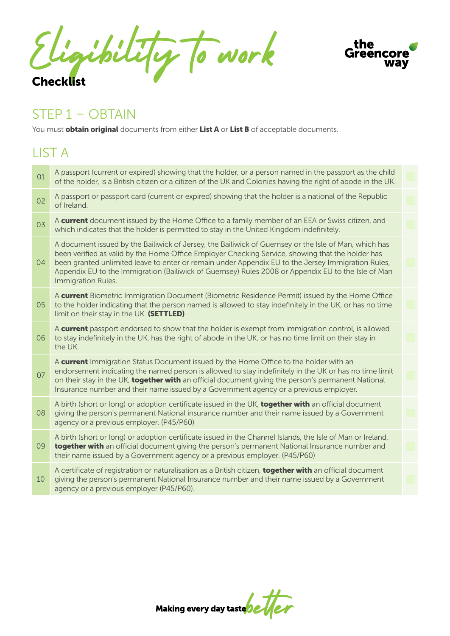Eligibility to work Checklist

agency or a previous employer (P45/P60).



#### STEP 1 – OBTAIN

You must **obtain original** documents from either List A or List B of acceptable documents.

#### LIST A A passport (current or expired) showing that the holder, or a person named in the passport as the child of the holder, is a British citizen or a citizen of the UK and Colonies having the right of abode in the UK. A passport or passport card (current or expired) showing that the holder is a national of the Republic of Ireland. A **current** document issued by the Home Office to a family member of an EEA or Swiss citizen, and which indicates that the holder is permitted to stay in the United Kingdom indefinitely. A current Biometric Immigration Document (Biometric Residence Permit) issued by the Home Office to the holder indicating that the person named is allowed to stay indefinitely in the UK, or has no time limit on their stay in the UK. (SETTLED) A **current** passport endorsed to show that the holder is exempt from immigration control, is allowed to stay indefinitely in the UK, has the right of abode in the UK, or has no time limit on their stay in the UK. A birth (short or long) or adoption certificate issued in the UK, **together with** an official document giving the person's permanent National insurance number and their name issued by a Government agency or a previous employer. (P45/P60) A **current** Immigration Status Document issued by the Home Office to the holder with an endorsement indicating the named person is allowed to stay indefinitely in the UK or has no time limit on their stay in the UK, together with an official document giving the person's permanent National Insurance number and their name issued by a Government agency or a previous employer. A birth (short or long) or adoption certificate issued in the Channel Islands, the Isle of Man or Ireland, together with an official document giving the person's permanent National Insurance number and their name issued by a Government agency or a previous employer. (P45/P60) A certificate of registration or naturalisation as a British citizen, **together with** an official document giving the person's permanent National Insurance number and their name issued by a Government A document issued by the Bailiwick of Jersey, the Bailiwick of Guernsey or the Isle of Man, which has been verified as valid by the Home Office Employer Checking Service, showing that the holder has been granted unlimited leave to enter or remain under Appendix EU to the Jersey Immigration Rules, Appendix EU to the Immigration (Bailiwick of Guernsey) Rules 2008 or Appendix EU to the Isle of Man Immigration Rules. 01 02 03 05 06 08 07 09 10  $04$

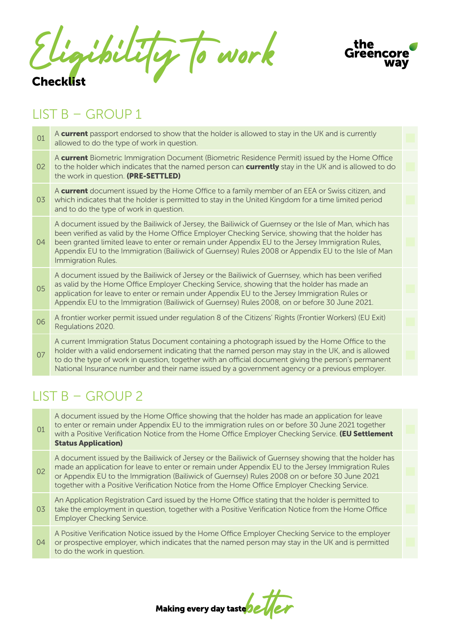Eligibility to work Checklist



## LIST B – GROUP 1

A **current** passport endorsed to show that the holder is allowed to stay in the UK and is currently allowed to do the type of work in question. 01

A current Biometric Immigration Document (Biometric Residence Permit) issued by the Home Office 02 to the holder which indicates that the named person can **currently** stay in the UK and is allowed to do the work in question. (PRE-SETTLED)

A **current** document issued by the Home Office to a family member of an EEA or Swiss citizen, and 03 which indicates that the holder is permitted to stay in the United Kingdom for a time limited period and to do the type of work in question.

A document issued by the Bailiwick of Jersey, the Bailiwick of Guernsey or the Isle of Man, which has been verified as valid by the Home Office Employer Checking Service, showing that the holder has 04 been granted limited leave to enter or remain under Appendix EU to the Jersey Immigration Rules, Appendix EU to the Immigration (Bailiwick of Guernsey) Rules 2008 or Appendix EU to the Isle of Man Immigration Rules.

A document issued by the Bailiwick of Jersey or the Bailiwick of Guernsey, which has been verified as valid by the Home Office Employer Checking Service, showing that the holder has made an application for leave to enter or remain under Appendix EU to the Jersey Immigration Rules or Appendix EU to the Immigration (Bailiwick of Guernsey) Rules 2008, on or before 30 June 2021. 05

A frontier worker permit issued under regulation 8 of the Citizens' Rights (Frontier Workers) (EU Exit) Regulations 2020. 06

A current Immigration Status Document containing a photograph issued by the Home Office to the holder with a valid endorsement indicating that the named person may stay in the UK, and is allowed to do the type of work in question, together with an official document giving the person's permanent National Insurance number and their name issued by a government agency or a previous employer. 07

## $LIST B - GROUP2$

A document issued by the Home Office showing that the holder has made an application for leave to enter or remain under Appendix EU to the immigration rules on or before 30 June 2021 together with a Positive Verification Notice from the Home Office Employer Checking Service. (EU Settlement Status Application) 01

A document issued by the Bailiwick of Jersey or the Bailiwick of Guernsey showing that the holder has made an application for leave to enter or remain under Appendix EU to the Jersey Immigration Rules or Appendix EU to the Immigration (Bailiwick of Guernsey) Rules 2008 on or before 30 June 2021 together with a Positive Verification Notice from the Home Office Employer Checking Service. 02

An Application Registration Card issued by the Home Office stating that the holder is permitted to take the employment in question, together with a Positive Verification Notice from the Home Office Employer Checking Service. 03

A Positive Verification Notice issued by the Home Office Employer Checking Service to the employer or prospective employer, which indicates that the named person may stay in the UK and is permitted to do the work in question. 04

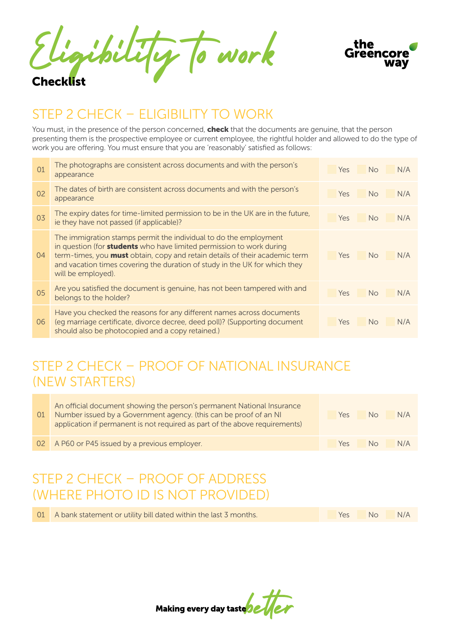Eligibility to work Checklist



## STEP 2 CHECK – ELIGIBILITY TO WORK

You must, in the presence of the person concerned, **check** that the documents are genuine, that the person presenting them is the prospective employee or current employee, the rightful holder and allowed to do the type of work you are offering. You must ensure that you are 'reasonably' satisfied as follows:

| 01 | The photographs are consistent across documents and with the person's<br>appearance                                                                                                                                                                                                                                                        | N/A<br>Yes<br><b>No</b> |
|----|--------------------------------------------------------------------------------------------------------------------------------------------------------------------------------------------------------------------------------------------------------------------------------------------------------------------------------------------|-------------------------|
| 02 | The dates of birth are consistent across documents and with the person's<br>appearance                                                                                                                                                                                                                                                     | N/A<br><b>No</b><br>Yes |
| 03 | The expiry dates for time-limited permission to be in the UK are in the future,<br>ie they have not passed (if applicable)?                                                                                                                                                                                                                | N/A<br><b>No</b><br>Yes |
| 04 | The immigration stamps permit the individual to do the employment<br>in question (for <b>students</b> who have limited permission to work during<br>term-times, you <b>must</b> obtain, copy and retain details of their academic term<br>and vacation times covering the duration of study in the UK for which they<br>will be employed). | N/A<br>Yes<br><b>No</b> |
| 05 | Are you satisfied the document is genuine, has not been tampered with and<br>belongs to the holder?                                                                                                                                                                                                                                        | N/A<br><b>No</b><br>Yes |
| 06 | Have you checked the reasons for any different names across documents<br>(eq marriage certificate, divorce decree, deed poll)? (Supporting document<br>should also be photocopied and a copy retained.)                                                                                                                                    | N/A<br><b>No</b><br>Yes |

## STEP 2 CHECK – PROOF OF NATIONAL INSURANCE (NEW STARTERS)

| 01 | An official document showing the person's permanent National Insurance<br>Number issued by a Government agency. (this can be proof of an NI<br>application if permanent is not required as part of the above requirements) | Yes | No | N/A |
|----|----------------------------------------------------------------------------------------------------------------------------------------------------------------------------------------------------------------------------|-----|----|-----|
|    | 02 A P60 or P45 issued by a previous employer.                                                                                                                                                                             | Yes | Nο | N/A |

## STEP 2 CHECK – PROOF OF ADDRESS (WHERE PHOTO ID IS NOT PROVIDED)

| 01 A bank statement or utility bill dated within the last 3 months. | Yes No N/A |
|---------------------------------------------------------------------|------------|
|---------------------------------------------------------------------|------------|

Making every day taste**be**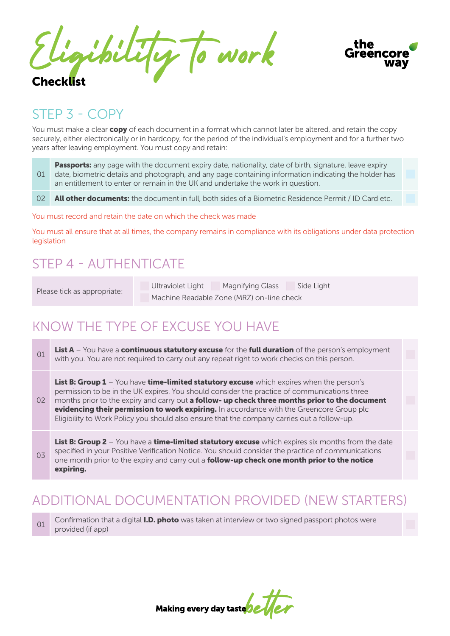Eligibility to work Checklist



#### STEP 3 - COPY

You must make a clear **copy** of each document in a format which cannot later be altered, and retain the copy securely, either electronically or in hardcopy, for the period of the individual's employment and for a further two years after leaving employment. You must copy and retain:

Passports: any page with the document expiry date, nationality, date of birth, signature, leave expiry date, biometric details and photograph, and any page containing information indicating the holder has an entitlement to enter or remain in the UK and undertake the work in question. 01

All other documents: the document in full, both sides of a Biometric Residence Permit / ID Card etc. 02

You must record and retain the date on which the check was made

You must all ensure that at all times, the company remains in compliance with its obligations under data protection legislation

## STEP 4 - AUTHENTICATE

Please tick as appropriate:

Ultraviolet Light Magnifying Glass Side Light Machine Readable Zone (MRZ) on-line check

## KNOW THE TYPE OF EXCUSE YOU HAVE

List A – You have a continuous statutory excuse for the full duration of the person's employment with you. You are not required to carry out any repeat right to work checks on this person. 01

List B: Group 1 – You have time-limited statutory excuse which expires when the person's permission to be in the UK expires. You should consider the practice of communications three months prior to the expiry and carry out a follow- up check three months prior to the document evidencing their permission to work expiring. In accordance with the Greencore Group plc Eligibility to Work Policy you should also ensure that the company carries out a follow-up. 02

List B: Group 2 – You have a time-limited statutory excuse which expires six months from the date specified in your Positive Verification Notice. You should consider the practice of communications one month prior to the expiry and carry out a **follow-up check one month prior to the notice** expiring. 03

# ADDITIONAL DOCUMENTATION PROVIDED (NEW STARTERS)

Confirmation that a digital **I.D. photo** was taken at interview or two signed passport photos were provided (if app) 01

Making every day taste 22